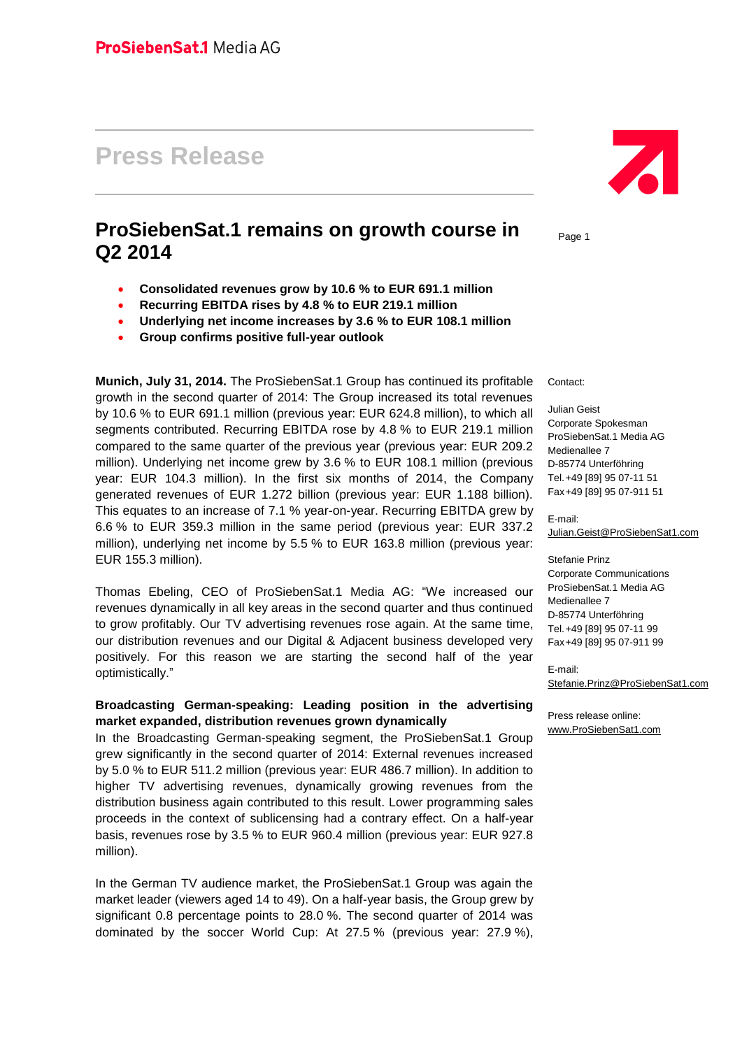# **Press Release**

# **ProSiebenSat.1 remains on growth course in Q2 2014**

- **Consolidated revenues grow by 10.6 % to EUR 691.1 million**
- **Recurring EBITDA rises by 4.8 % to EUR 219.1 million**
- **Underlying net income increases by 3.6 % to EUR 108.1 million**
- **Group confirms positive full-year outlook**

**Munich, July 31, 2014.** The ProSiebenSat.1 Group has continued its profitable growth in the second quarter of 2014: The Group increased its total revenues by 10.6 % to EUR 691.1 million (previous year: EUR 624.8 million), to which all segments contributed. Recurring EBITDA rose by 4.8 % to EUR 219.1 million compared to the same quarter of the previous year (previous year: EUR 209.2 million). Underlying net income grew by 3.6 % to EUR 108.1 million (previous year: EUR 104.3 million). In the first six months of 2014, the Company generated revenues of EUR 1.272 billion (previous year: EUR 1.188 billion). This equates to an increase of 7.1 % year-on-year. Recurring EBITDA grew by 6.6 % to EUR 359.3 million in the same period (previous year: EUR 337.2 million), underlying net income by 5.5 % to EUR 163.8 million (previous year: EUR 155.3 million).

Thomas Ebeling, CEO of ProSiebenSat.1 Media AG: "We increased our revenues dynamically in all key areas in the second quarter and thus continued to grow profitably. Our TV advertising revenues rose again. At the same time, our distribution revenues and our Digital & Adjacent business developed very positively. For this reason we are starting the second half of the year optimistically."

### **Broadcasting German-speaking: Leading position in the advertising market expanded, distribution revenues grown dynamically**

In the Broadcasting German-speaking segment, the ProSiebenSat.1 Group grew significantly in the second quarter of 2014: External revenues increased by 5.0 % to EUR 511.2 million (previous year: EUR 486.7 million). In addition to higher TV advertising revenues, dynamically growing revenues from the distribution business again contributed to this result. Lower programming sales proceeds in the context of sublicensing had a contrary effect. On a half-year basis, revenues rose by 3.5 % to EUR 960.4 million (previous year: EUR 927.8 million).

In the German TV audience market, the ProSiebenSat.1 Group was again the market leader (viewers aged 14 to 49). On a half-year basis, the Group grew by significant 0.8 percentage points to 28.0 %. The second quarter of 2014 was dominated by the soccer World Cup: At 27.5 % (previous year: 27.9 %),



Page 1

Contact:

Julian Geist Corporate Spokesman ProSiebenSat.1 Media AG Medienallee 7 D-85774 Unterföhring Tel.+49 [89] 95 07-11 51 Fax+49 [89] 95 07-911 51

E-mail: [Julian.Geist@ProSiebenSat1.com](mailto:Julian.Geist@ProSiebenSat1.com)

Stefanie Prinz Corporate Communications ProSiebenSat.1 Media AG Medienallee 7 D-85774 Unterföhring Tel.+49 [89] 95 07-11 99 Fax+49 [89] 95 07-911 99

E-mail: [Stefanie.Prinz@ProSiebenSat1.com](../AppData/Local/Microsoft/Windows/AppData/Local/Microsoft/Windows/Temporary%20Internet%20Files/Content.Outlook/AppData/Local/Microsoft/Windows/Temporary%20Internet%20Files/Content.Outlook/AppData/Local/Microsoft/Windows/Temporary%20Internet%20Files/Content.Outlook/AppData/Local/Microsoft/Windows/Temporary%20Internet%20Files/Content.Outlook/AppData/Local/Microsoft/Windows/Temporary%20Internet%20Files/Content.Outlook/AppData/Local/Microsoft/Windows/Temporary%20Internet%20Files/sroeder/AppData/Local/Microsoft/Windows/Temporary%20Internet%20Files/Content.Outlook/AppData/Local/Microsoft/Windows/Temporary%20Internet%20Files/Content.Outlook/AppData/Local/Microsoft/Windows/sroeder/AppData/Local/Microsoft/Windows/Temporary%20Internet%20Files/Content.Outlook/AppData/Local/Microsoft/Windows/Temporary%20Internet%20Files/Content.Outlook/AppData/Local/Microsoft/Windows/Temporary%20Internet%20Files/AppData/Local/Microsoft/Windows/Temporary%20Internet%20Files/Content.Outlook/D7J5EL6A/Stefanie.Prinz@ProSiebenSat1.com)

Press release online: [www.ProSiebenSat1.com](http://www.prosiebensat1.com/)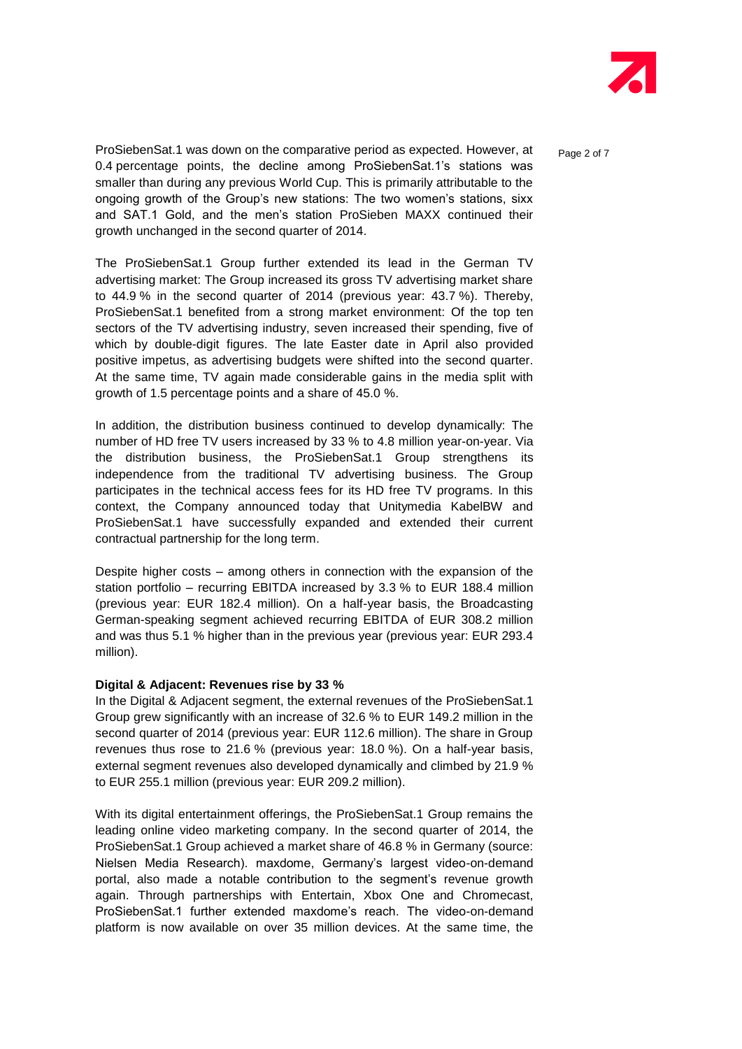

ProSiebenSat.1 was down on the comparative period as expected. However, at  $P_{\text{a}^{00}$   $\geq$  of 7 0.4 percentage points, the decline among ProSiebenSat.1's stations was smaller than during any previous World Cup. This is primarily attributable to the ongoing growth of the Group's new stations: The two women's stations, sixx and SAT.1 Gold, and the men's station ProSieben MAXX continued their growth unchanged in the second quarter of 2014.

The ProSiebenSat.1 Group further extended its lead in the German TV advertising market: The Group increased its gross TV advertising market share to 44.9 % in the second quarter of 2014 (previous year: 43.7 %). Thereby, ProSiebenSat.1 benefited from a strong market environment: Of the top ten sectors of the TV advertising industry, seven increased their spending, five of which by double-digit figures. The late Easter date in April also provided positive impetus, as advertising budgets were shifted into the second quarter. At the same time, TV again made considerable gains in the media split with growth of 1.5 percentage points and a share of 45.0 %.

In addition, the distribution business continued to develop dynamically: The number of HD free TV users increased by 33 % to 4.8 million year-on-year. Via the distribution business, the ProSiebenSat.1 Group strengthens its independence from the traditional TV advertising business. The Group participates in the technical access fees for its HD free TV programs. In this context, the Company announced today that Unitymedia KabelBW and ProSiebenSat.1 have successfully expanded and extended their current contractual partnership for the long term.

Despite higher costs – among others in connection with the expansion of the station portfolio – recurring EBITDA increased by 3.3 % to EUR 188.4 million (previous year: EUR 182.4 million). On a half-year basis, the Broadcasting German-speaking segment achieved recurring EBITDA of EUR 308.2 million and was thus 5.1 % higher than in the previous year (previous year: EUR 293.4 million).

#### **Digital & Adjacent: Revenues rise by 33 %**

In the Digital & Adjacent segment, the external revenues of the ProSiebenSat.1 Group grew significantly with an increase of 32.6 % to EUR 149.2 million in the second quarter of 2014 (previous year: EUR 112.6 million). The share in Group revenues thus rose to 21.6 % (previous year: 18.0 %). On a half-year basis, external segment revenues also developed dynamically and climbed by 21.9 % to EUR 255.1 million (previous year: EUR 209.2 million).

With its digital entertainment offerings, the ProSiebenSat.1 Group remains the leading online video marketing company. In the second quarter of 2014, the ProSiebenSat.1 Group achieved a market share of 46.8 % in Germany (source: Nielsen Media Research). maxdome, Germany's largest video-on-demand portal, also made a notable contribution to the segment's revenue growth again. Through partnerships with Entertain, Xbox One and Chromecast, ProSiebenSat.1 further extended maxdome's reach. The video-on-demand platform is now available on over 35 million devices. At the same time, the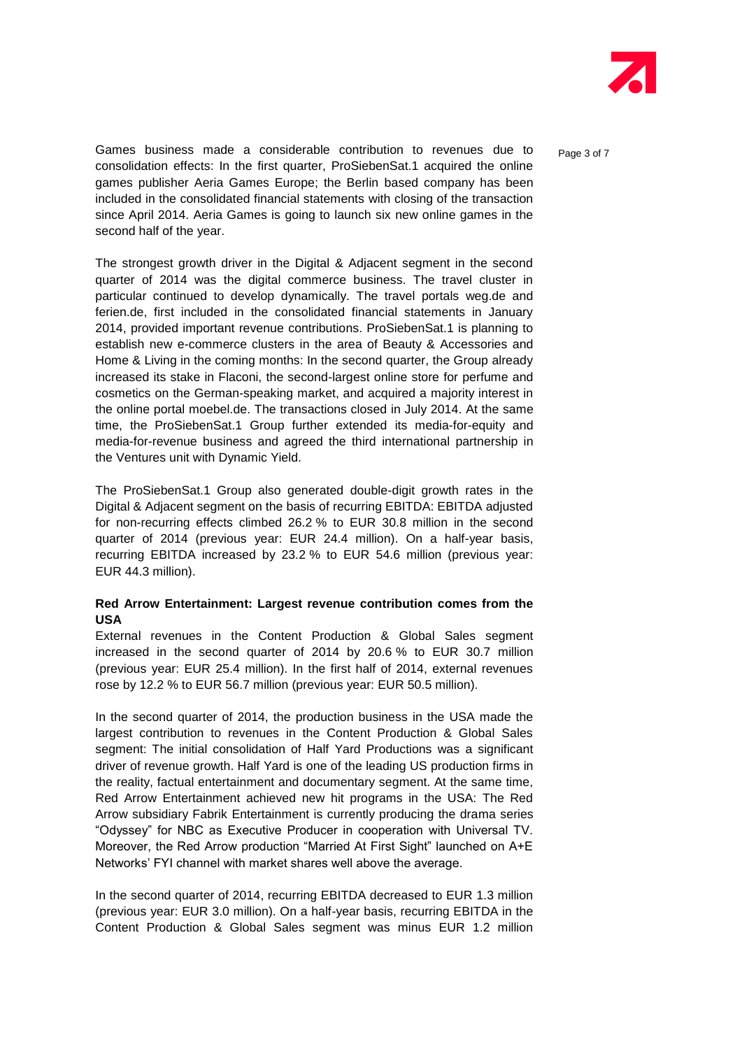

Games business made a considerable contribution to revenues due to  $P_{\text{a}ae 3 of 7}$ consolidation effects: In the first quarter, ProSiebenSat.1 acquired the online games publisher Aeria Games Europe; the Berlin based company has been included in the consolidated financial statements with closing of the transaction since April 2014. Aeria Games is going to launch six new online games in the second half of the year.

The strongest growth driver in the Digital & Adjacent segment in the second quarter of 2014 was the digital commerce business. The travel cluster in particular continued to develop dynamically. The travel portals weg.de and ferien.de, first included in the consolidated financial statements in January 2014, provided important revenue contributions. ProSiebenSat.1 is planning to establish new e-commerce clusters in the area of Beauty & Accessories and Home & Living in the coming months: In the second quarter, the Group already increased its stake in Flaconi, the second-largest online store for perfume and cosmetics on the German-speaking market, and acquired a majority interest in the online portal moebel.de. The transactions closed in July 2014. At the same time, the ProSiebenSat.1 Group further extended its media-for-equity and media-for-revenue business and agreed the third international partnership in the Ventures unit with Dynamic Yield.

The ProSiebenSat.1 Group also generated double-digit growth rates in the Digital & Adjacent segment on the basis of recurring EBITDA: EBITDA adjusted for non-recurring effects climbed 26.2 % to EUR 30.8 million in the second quarter of 2014 (previous year: EUR 24.4 million). On a half-year basis, recurring EBITDA increased by 23.2 % to EUR 54.6 million (previous year: EUR 44.3 million).

### **Red Arrow Entertainment: Largest revenue contribution comes from the USA**

External revenues in the Content Production & Global Sales segment increased in the second quarter of 2014 by 20.6 % to EUR 30.7 million (previous year: EUR 25.4 million). In the first half of 2014, external revenues rose by 12.2 % to EUR 56.7 million (previous year: EUR 50.5 million).

In the second quarter of 2014, the production business in the USA made the largest contribution to revenues in the Content Production & Global Sales segment: The initial consolidation of Half Yard Productions was a significant driver of revenue growth. Half Yard is one of the leading US production firms in the reality, factual entertainment and documentary segment. At the same time, Red Arrow Entertainment achieved new hit programs in the USA: The Red Arrow subsidiary Fabrik Entertainment is currently producing the drama series "Odyssey" for NBC as Executive Producer in cooperation with Universal TV. Moreover, the Red Arrow production "Married At First Sight" launched on A+E Networks' FYI channel with market shares well above the average.

In the second quarter of 2014, recurring EBITDA decreased to EUR 1.3 million (previous year: EUR 3.0 million). On a half-year basis, recurring EBITDA in the Content Production & Global Sales segment was minus EUR 1.2 million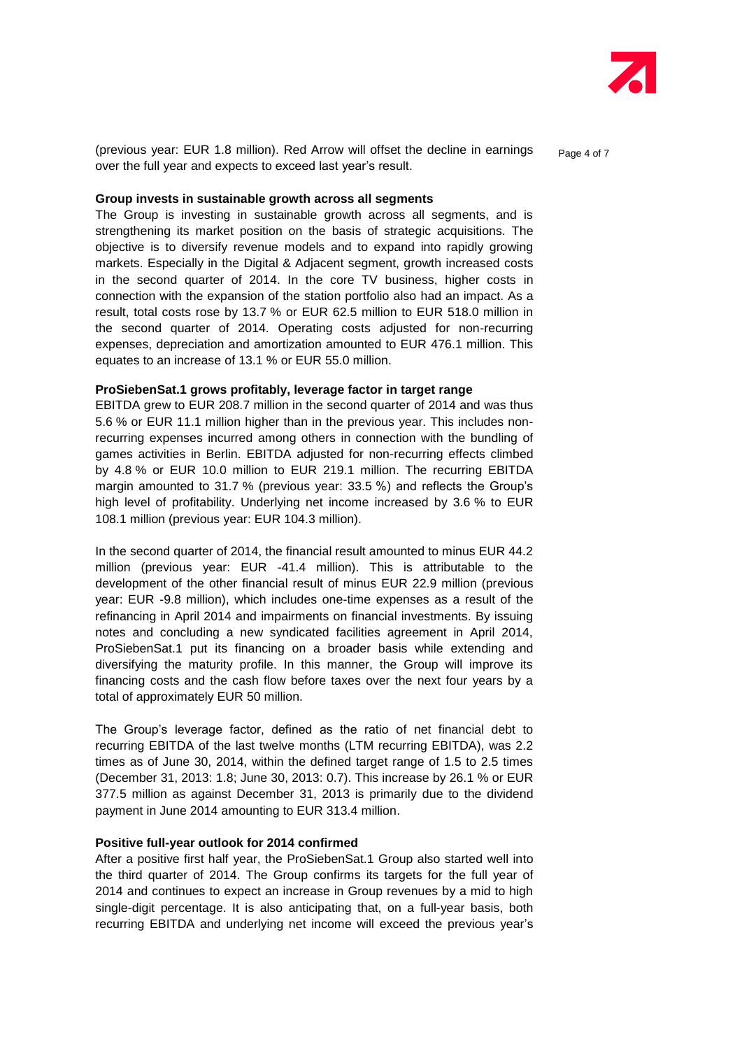

(previous year: EUR 1.8 million). Red Arrow will offset the decline in earnings over the full year and expects to exceed last year's result.

Page 4 of 7

#### **Group invests in sustainable growth across all segments**

The Group is investing in sustainable growth across all segments, and is strengthening its market position on the basis of strategic acquisitions. The objective is to diversify revenue models and to expand into rapidly growing markets. Especially in the Digital & Adjacent segment, growth increased costs in the second quarter of 2014. In the core TV business, higher costs in connection with the expansion of the station portfolio also had an impact. As a result, total costs rose by 13.7 % or EUR 62.5 million to EUR 518.0 million in the second quarter of 2014. Operating costs adjusted for non-recurring expenses, depreciation and amortization amounted to EUR 476.1 million. This equates to an increase of 13.1 % or EUR 55.0 million.

#### **ProSiebenSat.1 grows profitably, leverage factor in target range**

EBITDA grew to EUR 208.7 million in the second quarter of 2014 and was thus 5.6 % or EUR 11.1 million higher than in the previous year. This includes nonrecurring expenses incurred among others in connection with the bundling of games activities in Berlin. EBITDA adjusted for non-recurring effects climbed by 4.8 % or EUR 10.0 million to EUR 219.1 million. The recurring EBITDA margin amounted to 31.7 % (previous year: 33.5 %) and reflects the Group's high level of profitability. Underlying net income increased by 3.6 % to EUR 108.1 million (previous year: EUR 104.3 million).

In the second quarter of 2014, the financial result amounted to minus EUR 44.2 million (previous year: EUR -41.4 million). This is attributable to the development of the other financial result of minus EUR 22.9 million (previous year: EUR -9.8 million), which includes one-time expenses as a result of the refinancing in April 2014 and impairments on financial investments. By issuing notes and concluding a new syndicated facilities agreement in April 2014, ProSiebenSat.1 put its financing on a broader basis while extending and diversifying the maturity profile. In this manner, the Group will improve its financing costs and the cash flow before taxes over the next four years by a total of approximately EUR 50 million.

The Group's leverage factor, defined as the ratio of net financial debt to recurring EBITDA of the last twelve months (LTM recurring EBITDA), was 2.2 times as of June 30, 2014, within the defined target range of 1.5 to 2.5 times (December 31, 2013: 1.8; June 30, 2013: 0.7). This increase by 26.1 % or EUR 377.5 million as against December 31, 2013 is primarily due to the dividend payment in June 2014 amounting to EUR 313.4 million.

#### **Positive full-year outlook for 2014 confirmed**

After a positive first half year, the ProSiebenSat.1 Group also started well into the third quarter of 2014. The Group confirms its targets for the full year of 2014 and continues to expect an increase in Group revenues by a mid to high single-digit percentage. It is also anticipating that, on a full-year basis, both recurring EBITDA and underlying net income will exceed the previous year's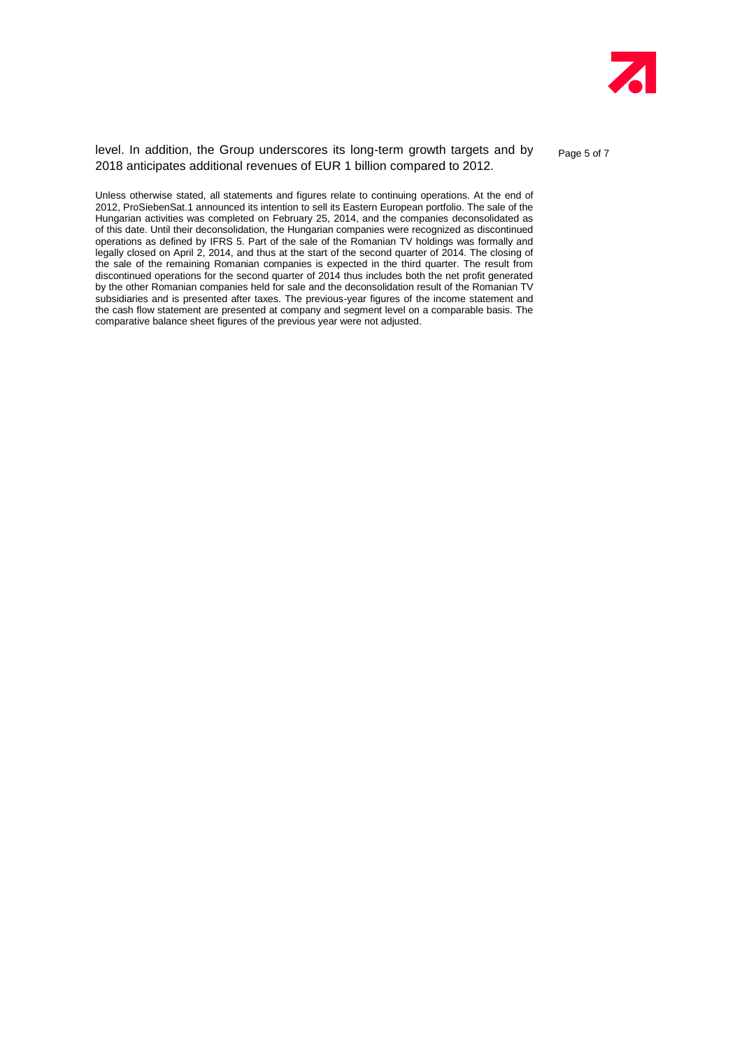

level. In addition, the Group underscores its long-term growth targets and by 2018 anticipates additional revenues of EUR 1 billion compared to 2012.

Page 5 of 7

Unless otherwise stated, all statements and figures relate to continuing operations. At the end of 2012, ProSiebenSat.1 announced its intention to sell its Eastern European portfolio. The sale of the Hungarian activities was completed on February 25, 2014, and the companies deconsolidated as of this date. Until their deconsolidation, the Hungarian companies were recognized as discontinued operations as defined by IFRS 5. Part of the sale of the Romanian TV holdings was formally and legally closed on April 2, 2014, and thus at the start of the second quarter of 2014. The closing of the sale of the remaining Romanian companies is expected in the third quarter. The result from discontinued operations for the second quarter of 2014 thus includes both the net profit generated by the other Romanian companies held for sale and the deconsolidation result of the Romanian TV subsidiaries and is presented after taxes. The previous-year figures of the income statement and the cash flow statement are presented at company and segment level on a comparable basis. The comparative balance sheet figures of the previous year were not adjusted.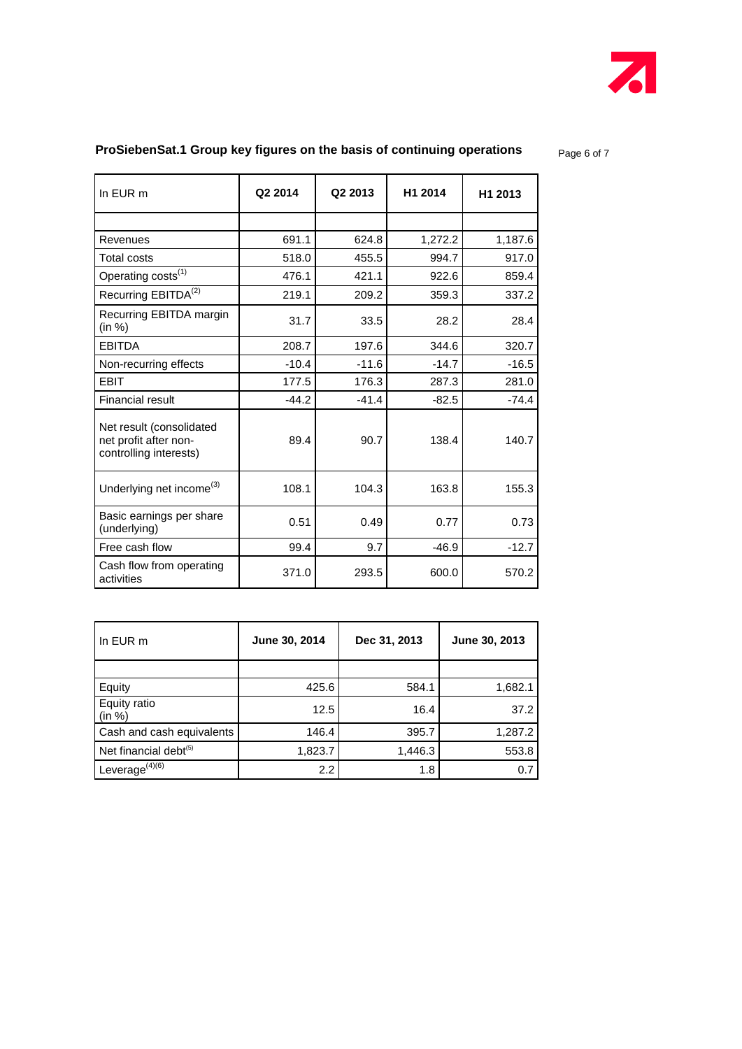

# **ProSiebenSat.1 Group key figures on the basis of continuing operations** Page 6 of 7

| In EUR m                                                                    | Q2 2014 | Q2 2013 | H1 2014 | H1 2013 |
|-----------------------------------------------------------------------------|---------|---------|---------|---------|
|                                                                             |         |         |         |         |
| Revenues                                                                    | 691.1   | 624.8   | 1,272.2 | 1,187.6 |
| <b>Total costs</b>                                                          | 518.0   | 455.5   | 994.7   | 917.0   |
| Operating costs <sup>(1)</sup>                                              | 476.1   | 421.1   | 922.6   | 859.4   |
| Recurring EBITDA <sup>(2)</sup>                                             | 219.1   | 209.2   | 359.3   | 337.2   |
| Recurring EBITDA margin<br>(in %)                                           | 31.7    | 33.5    | 28.2    | 28.4    |
| <b>EBITDA</b>                                                               | 208.7   | 197.6   | 344.6   | 320.7   |
| Non-recurring effects                                                       | $-10.4$ | $-11.6$ | $-14.7$ | $-16.5$ |
| <b>EBIT</b>                                                                 | 177.5   | 176.3   | 287.3   | 281.0   |
| <b>Financial result</b>                                                     | $-44.2$ | $-41.4$ | $-82.5$ | $-74.4$ |
| Net result (consolidated<br>net profit after non-<br>controlling interests) | 89.4    | 90.7    | 138.4   | 140.7   |
| Underlying net income <sup>(3)</sup>                                        | 108.1   | 104.3   | 163.8   | 155.3   |
| Basic earnings per share<br>(underlying)                                    | 0.51    | 0.49    | 0.77    | 0.73    |
| Free cash flow                                                              | 99.4    | 9.7     | $-46.9$ | $-12.7$ |
| Cash flow from operating<br>activities                                      | 371.0   | 293.5   | 600.0   | 570.2   |

| In EUR m                          | June 30, 2014 | Dec 31, 2013 | June 30, 2013 |  |
|-----------------------------------|---------------|--------------|---------------|--|
|                                   |               |              |               |  |
| Equity                            | 425.6         | 584.1        | 1,682.1       |  |
| Equity ratio<br>(in %)            | 12.5          | 16.4         | 37.2          |  |
| Cash and cash equivalents         | 146.4         | 395.7        | 1,287.2       |  |
| Net financial debt <sup>(5)</sup> | 1,823.7       | 1,446.3      | 553.8         |  |
| Leverage $(4)(6)$                 | 2.2           | 1.8          | 0.7           |  |